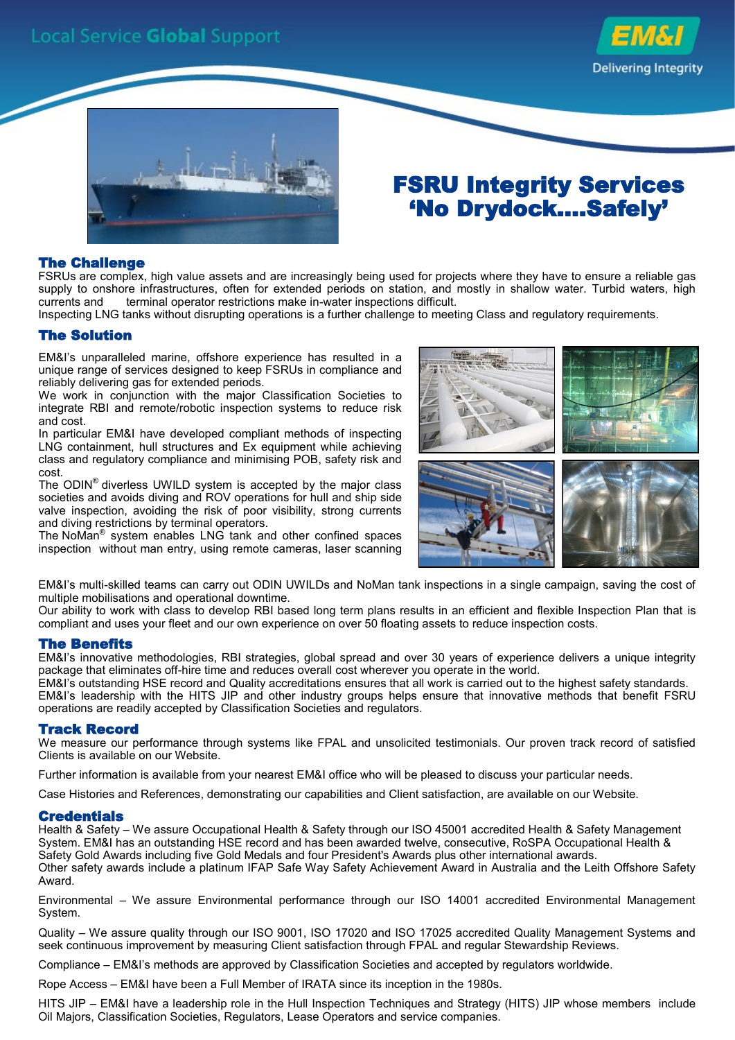



## FSRU Integrity Services 'No Drydock....Safely'

#### The Challenge

FSRUs are complex, high value assets and are increasingly being used for projects where they have to ensure a reliable gas supply to onshore infrastructures, often for extended periods on station, and mostly in shallow water. Turbid waters, high currents and terminal operator restrictions make in-water inspections difficult.

Inspecting LNG tanks without disrupting operations is a further challenge to meeting Class and regulatory requirements.

#### The Solution

EM&I's unparalleled marine, offshore experience has resulted in a unique range of services designed to keep FSRUs in compliance and reliably delivering gas for extended periods.

We work in conjunction with the major Classification Societies to integrate RBI and remote/robotic inspection systems to reduce risk and cost.

In particular EM&I have developed compliant methods of inspecting LNG containment, hull structures and Ex equipment while achieving class and regulatory compliance and minimising POB, safety risk and cost.

The ODIN<sup>®</sup> diverless UWILD system is accepted by the major class societies and avoids diving and ROV operations for hull and ship side valve inspection, avoiding the risk of poor visibility, strong currents and diving restrictions by terminal operators.

The NoMan® system enables LNG tank and other confined spaces inspection without man entry, using remote cameras, laser scanning



EM&I's multi-skilled teams can carry out ODIN UWILDs and NoMan tank inspections in a single campaign, saving the cost of multiple mobilisations and operational downtime.

Our ability to work with class to develop RBI based long term plans results in an efficient and flexible Inspection Plan that is compliant and uses your fleet and our own experience on over 50 floating assets to reduce inspection costs.

#### The Benefits

EM&I's innovative methodologies, RBI strategies, global spread and over 30 years of experience delivers a unique integrity package that eliminates off-hire time and reduces overall cost wherever you operate in the world.

EM&I's outstanding HSE record and Quality accreditations ensures that all work is carried out to the highest safety standards. EM&I's leadership with the HITS JIP and other industry groups helps ensure that innovative methods that benefit FSRU operations are readily accepted by Classification Societies and regulators.

#### Track Record

We measure our performance through systems like FPAL and unsolicited testimonials. Our proven track record of satisfied Clients is available on our Website.

Further information is available from your nearest EM&I office who will be pleased to discuss your particular needs.

Case Histories and References, demonstrating our capabilities and Client satisfaction, are available on our Website.

#### **Credentials**

Health & Safety – We assure Occupational Health & Safety through our ISO 45001 accredited Health & Safety Management System. EM&I has an outstanding HSE record and has been awarded twelve, consecutive, RoSPA Occupational Health & Safety Gold Awards including five Gold Medals and four President's Awards plus other international awards. Other safety awards include a platinum IFAP Safe Way Safety Achievement Award in Australia and the Leith Offshore Safety Award.

Environmental – We assure Environmental performance through our ISO 14001 accredited Environmental Management System.

Quality – We assure quality through our ISO 9001, ISO 17020 and ISO 17025 accredited Quality Management Systems and seek continuous improvement by measuring Client satisfaction through FPAL and regular Stewardship Reviews.

Compliance – EM&I's methods are approved by Classification Societies and accepted by regulators worldwide.

Rope Access – EM&I have been a Full Member of IRATA since its inception in the 1980s.

HITS JIP – EM&I have a leadership role in the Hull Inspection Techniques and Strategy (HITS) JIP whose members include Oil Majors, Classification Societies, Regulators, Lease Operators and service companies.